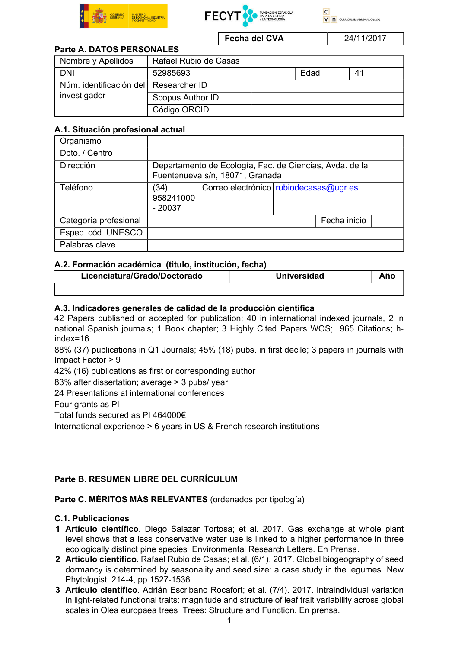



Fecha del CVA 24/11/2017

# Parte A. DATOS PERSONALES

| Nombre y Apellidos                                    | Rafael Rubio de Casas |      |    |
|-------------------------------------------------------|-----------------------|------|----|
| <b>DNI</b>                                            | 52985693              | Edad | 41 |
| Núm. identificación del Researcher ID<br>investigador |                       |      |    |
|                                                       | Scopus Author ID      |      |    |
|                                                       | Código ORCID          |      |    |

## A.1. Situación profesional actual

| Organismo             |                                                                                            |                                        |  |              |  |
|-----------------------|--------------------------------------------------------------------------------------------|----------------------------------------|--|--------------|--|
| Dpto. / Centro        |                                                                                            |                                        |  |              |  |
| Dirección             | Departamento de Ecología, Fac. de Ciencias, Avda. de la<br>Fuentenueva s/n, 18071, Granada |                                        |  |              |  |
| Teléfono              | (34)<br>958241000<br>$-20037$                                                              | Correo electrónico rubiodecasas@ugr.es |  |              |  |
| Categoría profesional |                                                                                            |                                        |  | Fecha inicio |  |
| Espec. cód. UNESCO    |                                                                                            |                                        |  |              |  |
| Palabras clave        |                                                                                            |                                        |  |              |  |

### A.2. Formación académica (titulo, institución, fecha)

| Licenciatura/Grado/Doctorado | <b>Universidad</b> |  |
|------------------------------|--------------------|--|
|                              |                    |  |

### A.3. Indicadores generales de calidad de la producción científica

42 Papers published or accepted for publication; 40 in international indexed journals, 2 in national Spanish journals; 1 Book chapter; 3 Highly Cited Papers WOS; 965 Citations; hindex=16

88% (37) publications in Q1 Journals; 45% (18) pubs. in first decile; 3 papers in journals with Impact Factor > 9

42% (16) publications as first or corresponding author

83% after dissertation; average > 3 pubs/ year

24 Presentations at international conferences

Four grants as PI

Total funds secured as PI 464000€

International experience > 6 years in US & French research institutions

## Parte B. RESUMEN LIBRE DEL CURRÍCULUM

#### Parte C. MÉRITOS MÁS RELEVANTES (ordenados por tipología)

#### C.1. Publicaciones

- 1 Artículo científico. Diego Salazar Tortosa; et al. 2017. Gas exchange at whole plant level shows that a less conservative water use is linked to a higher performance in three ecologically distinct pine species Environmental Research Letters. En Prensa.
- 2 Artículo científico. Rafael Rubio de Casas; et al. (6/1). 2017. Global biogeography of seed dormancy is determined by seasonality and seed size: a case study in the legumes New Phytologist. 214-4, pp.1527-1536.
- 3 Artículo científico. Adrián Escribano Rocafort; et al. (7/4). 2017. Intraindividual variation in light-related functional traits: magnitude and structure of leaf trait variability across global scales in Olea europaea trees Trees: Structure and Function. En prensa.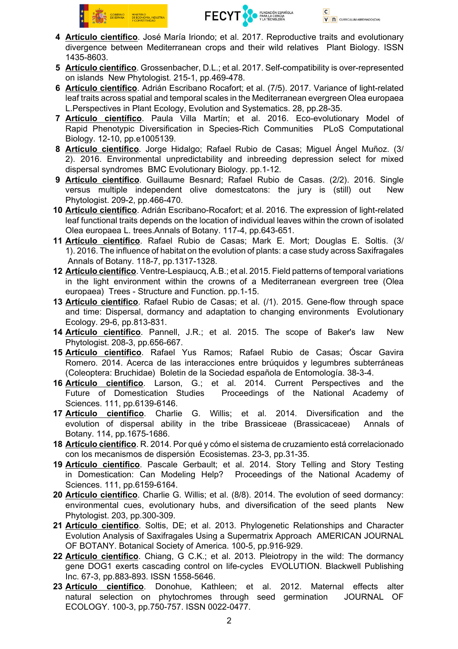

- 4 Artículo científico. José María Iriondo; et al. 2017. Reproductive traits and evolutionary divergence between Mediterranean crops and their wild relatives Plant Biology. ISSN 1435-8603.
- 5 Artículo científico. Grossenbacher, D.L.; et al. 2017. Self-compatibility is over-represented on islands New Phytologist. 215-1, pp.469-478.
- 6 Artículo científico. Adrián Escribano Rocafort; et al. (7/5). 2017. Variance of light-related leaf traits across spatial and temporal scales in the Mediterranean evergreen Olea europaea L.Perspectives in Plant Ecology, Evolution and Systematics. 28, pp.28-35.
- 7 Artículo científico. Paula Villa Martín; et al. 2016. Eco-evolutionary Model of Rapid Phenotypic Diversification in Species-Rich Communities PLoS Computational Biology. 12-10, pp.e1005139.
- 8 Artículo científico. Jorge Hidalgo; Rafael Rubio de Casas; Miguel Ángel Muñoz. (3/ 2). 2016. Environmental unpredictability and inbreeding depression select for mixed dispersal syndromes BMC Evolutionary Biology. pp.1-12.
- 9 Artículo científico. Guillaume Besnard; Rafael Rubio de Casas. (2/2). 2016. Single versus multiple independent olive domestcatons: the jury is (still) out New Phytologist. 209-2, pp.466-470.
- 10 Artículo científico. Adrián Escribano-Rocafort; et al. 2016. The expression of light-related leaf functional traits depends on the location of individual leaves within the crown of isolated Olea europaea L. trees.Annals of Botany. 117-4, pp.643-651.
- 11 Artículo científico. Rafael Rubio de Casas; Mark E. Mort; Douglas E. Soltis. (3/ 1). 2016. The influence of habitat on the evolution of plants: a case study across Saxifragales Annals of Botany. 118-7, pp.1317-1328.
- 12 Artículo científico. Ventre-Lespiaucq, A.B.; et al. 2015. Field patterns of temporal variations in the light environment within the crowns of a Mediterranean evergreen tree (Olea europaea) Trees - Structure and Function. pp.1-15.
- 13 Artículo científico. Rafael Rubio de Casas; et al. (/1). 2015. Gene-flow through space and time: Dispersal, dormancy and adaptation to changing environments Evolutionary Ecology. 29-6, pp.813-831.
- 14 Artículo científico. Pannell, J.R.; et al. 2015. The scope of Baker's law New Phytologist. 208-3, pp.656-667.
- 15 Artículo científico. Rafael Yus Ramos; Rafael Rubio de Casas; Óscar Gavira Romero. 2014. Acerca de las interacciones entre brúquidos y legumbres subterráneas (Coleoptera: Bruchidae) Boletin de la Sociedad española de Entomología. 38-3-4.
- 16 **Artículo científico**. Larson, G.; et al. 2014. Current Perspectives and the Future of Domestication Studies Proceedings of the National Academy of Proceedings of the National Academy of Sciences. 111, pp.6139-6146.
- 17 Artículo científico. Charlie G. Willis; et al. 2014. Diversification and the evolution of dispersal ability in the tribe Brassiceae (Brassicaceae) Annals of Botany. 114, pp.1675-1686.
- 18 Artículo científico. R. 2014. Por qué y cómo el sistema de cruzamiento está correlacionado con los mecanismos de dispersión Ecosistemas. 23-3, pp.31-35.
- 19 Artículo científico. Pascale Gerbault; et al. 2014. Story Telling and Story Testing in Domestication: Can Modeling Help? Proceedings of the National Academy of Sciences. 111, pp.6159-6164.
- 20 Artículo científico. Charlie G. Willis: et al. (8/8). 2014. The evolution of seed dormancy: environmental cues, evolutionary hubs, and diversification of the seed plants New Phytologist. 203, pp.300-309.
- 21 Artículo científico. Soltis, DE; et al. 2013. Phylogenetic Relationships and Character Evolution Analysis of Saxifragales Using a Supermatrix Approach AMERICAN JOURNAL OF BOTANY. Botanical Society of America. 100-5, pp.916-929.
- 22 Artículo científico. Chiang, G C.K.; et al. 2013. Pleiotropy in the wild: The dormancy gene DOG1 exerts cascading control on life-cycles EVOLUTION. Blackwell Publishing Inc. 67-3, pp.883-893. ISSN 1558-5646.
- 23 Artículo científico. Donohue, Kathleen; et al. 2012. Maternal effects alter natural selection on phytochromes through seed germination JOURNAL OF ECOLOGY. 100-3, pp.750-757. ISSN 0022-0477.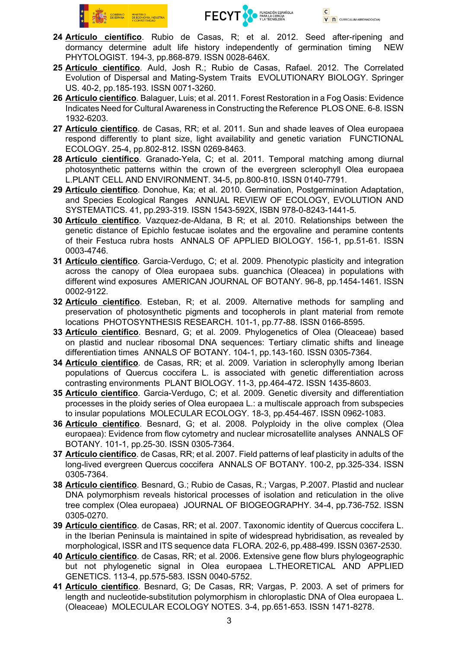



- 24 Artículo científico. Rubio de Casas, R; et al. 2012. Seed after-ripening and dormancy determine adult life history independently of germination timing NEW PHYTOLOGIST. 194-3, pp.868-879. ISSN 0028-646X.
- 25 Artículo científico. Auld, Josh R.; Rubio de Casas, Rafael. 2012. The Correlated Evolution of Dispersal and Mating-System Traits EVOLUTIONARY BIOLOGY. Springer US. 40-2, pp.185-193. ISSN 0071-3260.
- 26 Artículo científico. Balaguer, Luis; et al. 2011. Forest Restoration in a Fog Oasis: Evidence Indicates Need for Cultural Awareness in Constructing the Reference PLOS ONE. 6-8. ISSN 1932-6203.
- 27 Artículo científico. de Casas, RR; et al. 2011. Sun and shade leaves of Olea europaea respond differently to plant size, light availability and genetic variation FUNCTIONAL ECOLOGY. 25-4, pp.802-812. ISSN 0269-8463.
- 28 Artículo científico. Granado-Yela, C; et al. 2011. Temporal matching among diurnal photosynthetic patterns within the crown of the evergreen sclerophyll Olea europaea L.PLANT CELL AND ENVIRONMENT. 34-5, pp.800-810. ISSN 0140-7791.
- 29 Artículo científico. Donohue, Ka; et al. 2010. Germination, Postgermination Adaptation, and Species Ecological Ranges ANNUAL REVIEW OF ECOLOGY, EVOLUTION AND SYSTEMATICS. 41, pp.293-319. ISSN 1543-592X, ISBN 978-0-8243-1441-5.
- 30 Artículo científico. Vazquez-de-Aldana, B R; et al. 2010. Relationships between the genetic distance of Epichlo festucae isolates and the ergovaline and peramine contents of their Festuca rubra hosts ANNALS OF APPLIED BIOLOGY. 156-1, pp.51-61. ISSN 0003-4746.
- 31 Artículo científico. Garcia-Verdugo, C; et al. 2009. Phenotypic plasticity and integration across the canopy of Olea europaea subs. guanchica (Oleacea) in populations with different wind exposures AMERICAN JOURNAL OF BOTANY. 96-8, pp.1454-1461. ISSN 0002-9122.
- 32 Artículo científico. Esteban, R; et al. 2009. Alternative methods for sampling and preservation of photosynthetic pigments and tocopherols in plant material from remote locations PHOTOSYNTHESIS RESEARCH. 101-1, pp.77-88. ISSN 0166-8595.
- 33 Artículo científico. Besnard, G; et al. 2009. Phylogenetics of Olea (Oleaceae) based on plastid and nuclear ribosomal DNA sequences: Tertiary climatic shifts and lineage differentiation times ANNALS OF BOTANY. 104-1, pp.143-160. ISSN 0305-7364.
- 34 Artículo científico. de Casas, RR; et al. 2009. Variation in sclerophylly among Iberian populations of Quercus coccifera L. is associated with genetic differentiation across contrasting environments PLANT BIOLOGY. 11-3, pp.464-472. ISSN 1435-8603.
- 35 Artículo científico. Garcia-Verdugo, C; et al. 2009. Genetic diversity and differentiation processes in the ploidy series of Olea europaea L.: a multiscale approach from subspecies to insular populations MOLECULAR ECOLOGY. 18-3, pp.454-467. ISSN 0962-1083.
- 36 Artículo científico. Besnard, G; et al. 2008. Polyploidy in the olive complex (Olea europaea): Evidence from flow cytometry and nuclear microsatellite analyses ANNALS OF BOTANY. 101-1, pp.25-30. ISSN 0305-7364.
- 37 Artículo científico, de Casas, RR; et al. 2007. Field patterns of leaf plasticity in adults of the long-lived evergreen Quercus coccifera ANNALS OF BOTANY. 100-2, pp.325-334. ISSN 0305-7364.
- 38 Artículo científico. Besnard, G.; Rubio de Casas, R.; Vargas, P.2007. Plastid and nuclear DNA polymorphism reveals historical processes of isolation and reticulation in the olive tree complex (Olea europaea) JOURNAL OF BIOGEOGRAPHY. 34-4, pp.736-752. ISSN 0305-0270.
- 39 Artículo científico. de Casas, RR; et al. 2007. Taxonomic identity of Quercus coccifera L. in the Iberian Peninsula is maintained in spite of widespread hybridisation, as revealed by morphological, ISSR and ITS sequence data FLORA. 202-6, pp.488-499. ISSN 0367-2530.
- 40 Artículo científico. de Casas, RR; et al. 2006. Extensive gene flow blurs phylogeographic but not phylogenetic signal in Olea europaea L.THEORETICAL AND APPLIED GENETICS. 113-4, pp.575-583. ISSN 0040-5752.
- 41 Artículo científico. Besnard, G; De Casas, RR; Vargas, P. 2003. A set of primers for length and nucleotide-substitution polymorphism in chloroplastic DNA of Olea europaea L. (Oleaceae) MOLECULAR ECOLOGY NOTES. 3-4, pp.651-653. ISSN 1471-8278.